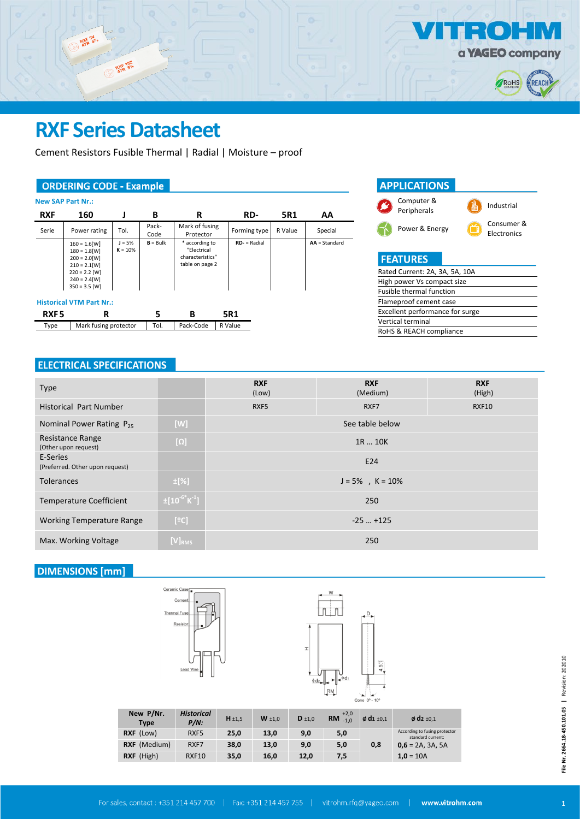

## **RXF Series Datasheet**

RXF 102

Cement Resistors Fusible Thermal | Radial | Moisture – proof

### **ORDERING CODE - Example**

RXF BY

|                  | <b>New SAP Part Nr.:</b>                                                                                                                                             |                       |               |                                                                      |                 |         |               |
|------------------|----------------------------------------------------------------------------------------------------------------------------------------------------------------------|-----------------------|---------------|----------------------------------------------------------------------|-----------------|---------|---------------|
| <b>RXF</b>       | 160                                                                                                                                                                  |                       | В             | R                                                                    | RD-             | 5R1     | AA            |
| Serie            | Power rating                                                                                                                                                         | Tol.                  | Pack-<br>Code | Mark of fusing<br>Protector                                          | Forming type    | R Value | Special       |
|                  | $160 = 1.6$ [W]<br>$180 = 1.8$ [W]<br>$200 = 2.0$ [W]<br>$210 = 2.1$ [W]<br>$220 = 2.2$ [W]<br>$240 = 2.4$ [W]<br>$350 = 3.5$ [W]<br><b>Historical VTM Part Nr.:</b> | $J = 5%$<br>$K = 10%$ | $B = Bulk$    | * according to<br>"Electrical<br>characteristics"<br>table on page 2 | $RD -$ = Radial |         | AA = Standard |
| RXF <sub>5</sub> | R                                                                                                                                                                    |                       | 5             | В                                                                    | 5R1             |         |               |
| Type             | Mark fusing protector                                                                                                                                                |                       | Tol.          | Pack-Code                                                            | R Value         |         |               |



## **ELECTRICAL SPECIFICATIONS**

| <b>Type</b>                                 |                                  | <b>RXF</b> | <b>RXF</b>           | <b>RXF</b> |  |
|---------------------------------------------|----------------------------------|------------|----------------------|------------|--|
|                                             |                                  | (Low)      | (Medium)             | (High)     |  |
| <b>Historical Part Number</b>               |                                  | RXF5       | <b>RXF10</b><br>RXF7 |            |  |
| Nominal Power Rating $P_{25}$               | [W]                              |            | See table below      |            |  |
| Resistance Range<br>(Other upon request)    | $[\Omega]$                       |            | 1R  10K              |            |  |
| E-Series<br>(Preferred. Other upon request) |                                  | E24        |                      |            |  |
| <b>Tolerances</b>                           | $\pm$ [%]                        |            | $J = 5\%$ , K = 10%  |            |  |
| <b>Temperature Coefficient</b>              | $\pm [10^{-6}$ K <sup>-1</sup> ] |            | 250                  |            |  |
| <b>Working Temperature Range</b>            | [°C]                             |            | $-25$ $+125$         |            |  |
| Max. Working Voltage                        | $[V]_{RMS}$                      |            | 250                  |            |  |

### **DIMENSIONS** [mm]





| New P/Nr.<br><b>Type</b> | <b>Historical</b><br>$P/N$ : | $H \pm 1.5$ | $W \pm 1.0$ | $D \pm 1,0$ | $+2,0$<br>$RM_{-1,0}$ | $\phi$ d <sub>1</sub> $\pm$ 0,1 | $\phi$ d <sub>2</sub> $\pm$ 0,1                    |
|--------------------------|------------------------------|-------------|-------------|-------------|-----------------------|---------------------------------|----------------------------------------------------|
| RXF (Low)                | RXF5                         | 25,0        | 13,0        | 9,0         | 5,0                   |                                 | According to fusing protector<br>standard current: |
| <b>RXF</b> (Medium)      | RXF7                         | 38.0        | 13.0        | 9,0         | 5,0                   | 0,8                             | $0,6 = 2A, 3A, 5A$                                 |
| RXF (High)               | <b>RXF10</b>                 | 35,0        | 16.0        | 12.0        | 7,5                   |                                 | $1,0 = 10A$                                        |